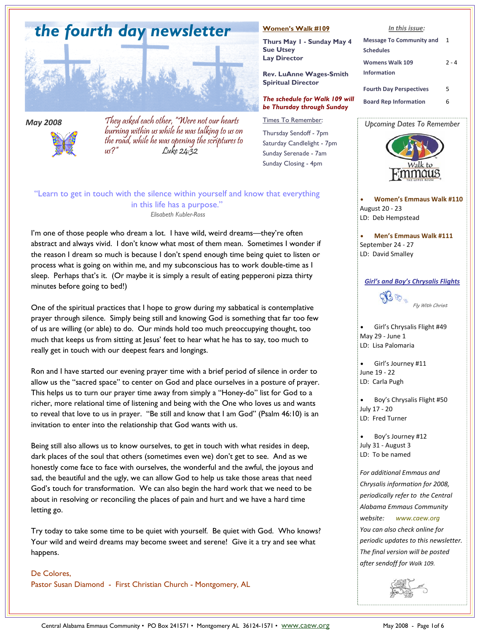# *the fourth day newsletter*



*May 2008* 



They asked each other, "Were not our hearts burning within us while he was talking to us on the road, while he was opening the scriptures to  $Luke 24:32$ 

#### **Women's Walk #109**

**Thurs May 1 - Sunday May 4 Sue Utsey Lay Director** 

**Rev. LuAnne Wages-Smith Spiritual Director** 

#### *The schedule for Walk 109 will be Thursday through Sunday*

Times To Remember:

Thursday Sendoff - 7pm Saturday Candlelight - 7pm Sunday Serenade - 7am Sunday Closing - 4pm

#### "Learn to get in touch with the silence within yourself and know that everything in this life has a purpose." *Elisabeth Kubler-Ross*

I'm one of those people who dream a lot. I have wild, weird dreams—they're often abstract and always vivid. I don't know what most of them mean. Sometimes I wonder if the reason I dream so much is because I don't spend enough time being quiet to listen or process what is going on within me, and my subconscious has to work double-time as I sleep. Perhaps that's it. (Or maybe it is simply a result of eating pepperoni pizza thirty minutes before going to bed!)

One of the spiritual practices that I hope to grow during my sabbatical is contemplative prayer through silence. Simply being still and knowing God is something that far too few of us are willing (or able) to do. Our minds hold too much preoccupying thought, too much that keeps us from sitting at Jesus' feet to hear what he has to say, too much to really get in touch with our deepest fears and longings.

Ron and I have started our evening prayer time with a brief period of silence in order to allow us the "sacred space" to center on God and place ourselves in a posture of prayer. This helps us to turn our prayer time away from simply a "Honey-do" list for God to a richer, more relational time of listening and being with the One who loves us and wants to reveal that love to us in prayer. "Be still and know that I am God" (Psalm 46:10) is an invitation to enter into the relationship that God wants with us.

Being still also allows us to know ourselves, to get in touch with what resides in deep, dark places of the soul that others (sometimes even we) don't get to see. And as we honestly come face to face with ourselves, the wonderful and the awful, the joyous and sad, the beautiful and the ugly, we can allow God to help us take those areas that need God's touch for transformation. We can also begin the hard work that we need to be about in resolving or reconciling the places of pain and hurt and we have a hard time letting go.

Try today to take some time to be quiet with yourself. Be quiet with God. Who knows? Your wild and weird dreams may become sweet and serene! Give it a try and see what happens.

De Colores, Pastor Susan Diamond - First Christian Church - Montgomery, AL

| In this issue:                                      |       |
|-----------------------------------------------------|-------|
| <b>Message To Community and</b><br><b>Schedules</b> | 1     |
| Womens Walk 109<br>Information                      | 2 - 4 |
| <b>Fourth Day Perspectives</b>                      | 5     |
| <b>Board Rep Information</b>                        | 6     |

*Upcoming Dates To Remember* 



• **Women's Emmaus Walk #110**  August 20 - 23 LD: Deb Hempstead

• **Men's Emmaus Walk #111**  September 24 - 27 LD: David Smalley

#### *Girl's and Boy's Chrysalis Flights*



• Girl's Chrysalis Flight #49 May 29 - June 1 LD: Lisa Palomaria

Girl's Journey #11 June 19 - 22 LD: Carla Pugh

• Boy's Chrysalis Flight #50 July 17 - 20 LD: Fred Turner

• Boy's Journey #12 July 31 - August 3 LD: To be named

*For additional Emmaus and Chrysalis information for 2008, periodically refer to the Central Alabama Emmaus Community website: www.caew.org You can also check online for periodic updates to this newsletter. The final version will be posted after sendoff for Walk 109.* 

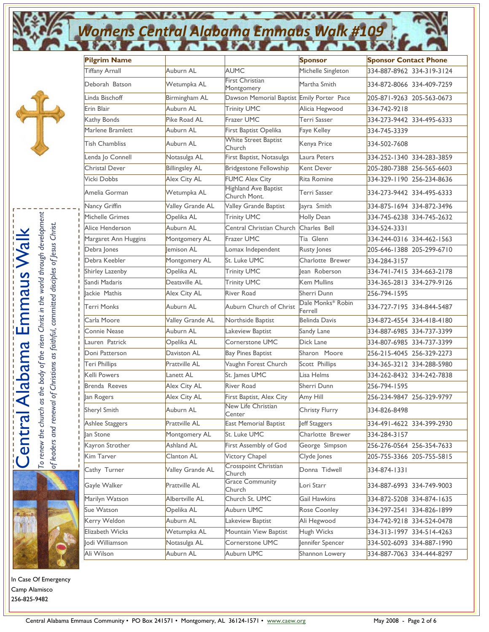|                     |                                                                                                               |                                                | <u> Tanya</u>         |                                           |                              |                              |
|---------------------|---------------------------------------------------------------------------------------------------------------|------------------------------------------------|-----------------------|-------------------------------------------|------------------------------|------------------------------|
|                     |                                                                                                               | <b>Womens Central Alabama Emmaus Walk #109</b> |                       |                                           |                              |                              |
|                     |                                                                                                               |                                                |                       |                                           |                              |                              |
|                     |                                                                                                               | <b>Pilgrim Name</b>                            |                       |                                           | <b>Sponsor</b>               | <b>Sponsor Contact Phone</b> |
|                     |                                                                                                               | <b>Tiffany Arnall</b>                          | Auburn AL             | <b>AUMC</b>                               | Michelle Singleton           | 334-887-8962 334-319-3124    |
|                     |                                                                                                               | Deborah Batson                                 | Wetumpka AL           | <b>First Christian</b><br>Montgomery      | Martha Smith                 | 334-872-8066 334-409-7259    |
|                     |                                                                                                               | Linda Bischoff                                 | Birmingham AL         | Dawson Memorial Baptist Emily Porter Pace |                              | 205-871-9263 205-563-0673    |
|                     |                                                                                                               | Erin Blair                                     | Auburn AL             | <b>Trinity UMC</b>                        | Alicia Hegwood               | 334-742-9218                 |
|                     |                                                                                                               | Kathy Bonds                                    | Pike Road AL          | Frazer UMC                                | Terri Sasser                 | 334-273-9442 334-495-6333    |
|                     |                                                                                                               | Marlene Bramlett                               | Auburn AL             | First Baptist Opelika                     | <b>Faye Kelley</b>           | 334-745-3339                 |
|                     |                                                                                                               | <b>Tish Chambliss</b>                          | Auburn AL             | White Street Baptist<br>Church            | Kenya Price                  | 334-502-7608                 |
|                     |                                                                                                               | Lenda Jo Connell                               | Notasulga AL          | First Baptist, Notasulga                  | Laura Peters                 | 334-252-1340 334-283-3859    |
|                     |                                                                                                               | <b>Christal Dever</b>                          | <b>Billingsley AL</b> | <b>Bridgestone Fellowship</b>             | <b>Kent Dever</b>            | 205-280-7388 256-565-6603    |
|                     |                                                                                                               | Vicki Dobbs                                    | Alex City AL          | <b>FUMC Alex City</b>                     | Rita Romine                  | 334-329-1190 256-234-8636    |
|                     |                                                                                                               | Amelia Gorman                                  | Wetumpka AL           | Highland Ave Baptist<br>Church Mont.      | Terri Sasser                 | 334-273-9442 334-495-6333    |
|                     |                                                                                                               | Nancy Griffin                                  | Valley Grande AL      | Valley Grande Baptist                     | Jayra Smith                  | 334-875-1694 334-872-3496    |
|                     |                                                                                                               | Michelle Grimes                                | Opelika AL            | <b>Trinity UMC</b>                        | Holly Dean                   | 334-745-6238 334-745-2632    |
|                     |                                                                                                               | Alice Henderson                                | Auburn AL             | Central Christian Church Charles Bell     |                              | 334-524-3331                 |
|                     |                                                                                                               | Margaret Ann Huggins                           | Montgomery AL         | Frazer UMC                                | Tia Glenn                    | 334-244-0316 334-462-1563    |
| Walk                |                                                                                                               | Debra Jones                                    | lemison AL            | Lomax Independent                         | Rusty Jones                  | 205-646-1388 205-299-6710    |
|                     |                                                                                                               | Debra Keebler                                  | Montgomery AL         | St. Luke UMC                              | Charlotte Brewer             | 334-284-3157                 |
|                     |                                                                                                               | Shirley Lazenby                                | Opelika AL            | Trinity UMC                               | lean Roberson                | 334-741-7415 334-663-2178    |
|                     |                                                                                                               | Sandi Madaris                                  | Deatsville AL         | <b>Trinity UMC</b>                        | <b>Kem Mullins</b>           | 334-365-2813 334-279-9126    |
|                     |                                                                                                               | Jackie Mathis                                  | Alex City AL          | River Road                                | Sherri Dunn                  | 256-794-1595                 |
| Emmaus <sup>1</sup> | of the risen Christ in the world through development<br>ins as faithful, committed disciples of Jesus Christ. | Terri Monks                                    | Auburn AL             | Auburn Church of Christ                   | Dale Monks* Robin<br>Ferrell | 334-727-7195 334-844-5487    |
|                     |                                                                                                               | Carla Moore                                    | Valley Grande AL      | Northside Baptist                         | <b>Belinda Davis</b>         | 334-872-4554 334-418-4180    |
|                     |                                                                                                               | Connie Nease                                   | Auburn AL             | Lakeview Baptist                          | Sandy Lane                   | 334-887-6985 334-737-3399    |
|                     |                                                                                                               | Lauren Patrick                                 | Opelika AL            | Cornerstone UMC                           | Dick Lane                    | 334-807-6985 334-737-3399    |
|                     |                                                                                                               | Doni Patterson                                 | Daviston AL           | <b>Bay Pines Baptist</b>                  | Sharon Moore                 | 256-215-4045 256-329-2273    |
|                     |                                                                                                               | Teri Phillips                                  | <b>Prattville AL</b>  | Vaughn Forest Church                      | Scott Phillips               | 334-365-3212 334-288-5980    |
|                     |                                                                                                               | <b>Kelli Powers</b>                            | Lanett AL             | St. James UMC                             | Lisa Helms                   | 334-262-8432 334-242-7838    |
|                     |                                                                                                               | Brenda Reeves                                  | Alex City AL          | River Road                                | Sherri Dunn                  | 256-794-1595                 |
|                     |                                                                                                               | Jan Rogers                                     | Alex City AL          | First Baptist, Alex City                  | Amy Hill                     | 256-234-9847 256-329-9797    |
| entral Alabama      | of leaders and renewal of Christia<br>To renew the church as the body                                         | Sheryl Smith                                   | Auburn AL             | New Life Christian<br>Center              | Christy Flurry               | 334-826-8498                 |
|                     |                                                                                                               | Ashlee Staggers                                | Prattville AL         | East Memorial Baptist                     | Jeff Staggers                | 334-491-4622 334-399-2930    |
|                     |                                                                                                               | Jan Stone                                      | Montgomery AL         | St. Luke UMC                              | Charlotte Brewer             | 334-284-3157                 |
|                     |                                                                                                               | Kayron Strother                                | <b>Ashland AL</b>     | First Assembly of God                     | George Simpson               | 256-276-0564 256-354-7633    |
|                     |                                                                                                               | Kim Tarver                                     | Clanton AL            | Victory Chapel                            | Clyde Jones                  | 205-755-3366 205-755-5815    |
|                     |                                                                                                               | Cathy Turner                                   | Valley Grande AL      | Crosspoint Christian<br>Church            | Donna Tidwell                | 334-874-1331                 |
|                     |                                                                                                               | Gayle Walker                                   | Prattville AL         | <b>Grace Community</b><br>Church          | Lori Starr                   | 334-887-6993 334-749-9003    |
|                     |                                                                                                               | Marilyn Watson                                 | <b>Albertville AL</b> | Church St. UMC                            | Gail Hawkins                 | 334-872-5208 334-874-1635    |
|                     |                                                                                                               | Sue Watson                                     | Opelika AL            | Auburn UMC                                | Rose Coonley                 | 334-297-2541 334-826-1899    |
|                     |                                                                                                               | Kerry Weldon                                   | Auburn AL             | Lakeview Baptist                          | Ali Hegwood                  | 334-742-9218 334-524-0478    |
|                     |                                                                                                               | Elizabeth Wicks                                | Wetumpka AL           | Mountain View Baptist                     | Hugh Wicks                   | 334-313-1997 334-514-4263    |
|                     |                                                                                                               | Jodi Williamson                                | Notasulga AL          | Cornerstone UMC                           | Jennifer Spencer             | 334-502-6093 334-887-1990    |
|                     |                                                                                                               | Ali Wilson                                     | Auburn AL             | Auburn UMC                                | Shannon Lowery               | 334-887-7063 334-444-8297    |

In Case Of Emergency Camp Alamisco 256-825-9482

**Safe Man** 

 $\bullet$  , , ,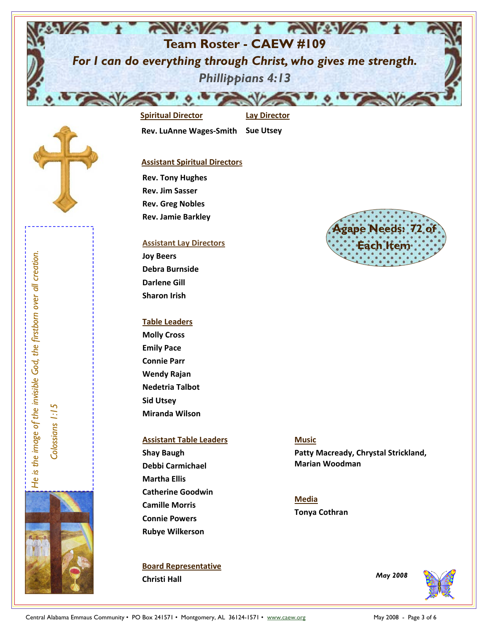## **Team Roster - CAEW #109**

 $t = \frac{1}{2} \sqrt{2\pi}$ 

*For I can do everything through Christ, who gives me strength.* 

*Phillippians 4:13* 

**YA 743** 

**Spiritual Director**

**Lay Director**

 **Rev. LuAnne Wages-Smith Sue Utsey**

#### **Assistant Spiritual Directors**

**Rev. Tony Hughes Rev. Jim Sasser Rev. Greg Nobles Rev. Jamie Barkley** 

#### **Assistant Lay Directors**

**Joy Beers Debra Burnside Darlene Gill Sharon Irish** 

### **Table Leaders**

**Molly Cross Emily Pace Connie Parr Wendy Rajan Nedetria Talbot Sid Utsey Miranda Wilson** 

#### **Assistant Table Leaders**

**Shay Baugh Debbi Carmichael Martha Ellis Catherine Goodwin Camille Morris Connie Powers Rubye Wilkerson**

#### **Board Representative Christi Hall**

# **Agape Needs: 72 of Each Item**

#### **Music**

**Patty Macready, Chrystal Strickland, Marian Woodman** 

**Media Tonya Cothran** 

*May 2008* 



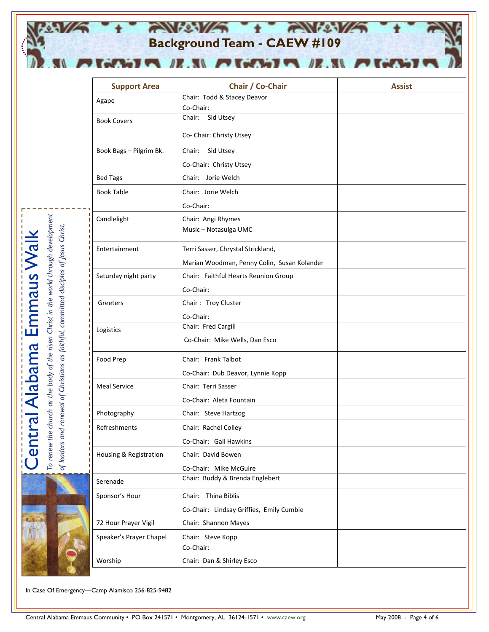# **Background Team - CAEW #109**

**RAYER 1/25** 

**ANKAY AT T** 

| <b>Support Area</b>     | Chair / Co-Chair                            | <b>Assist</b> |
|-------------------------|---------------------------------------------|---------------|
| Agape                   | Chair: Todd & Stacey Deavor                 |               |
|                         | Co-Chair:<br>Chair: Sid Utsey               |               |
| <b>Book Covers</b>      |                                             |               |
|                         | Co- Chair: Christy Utsey                    |               |
| Book Bags - Pilgrim Bk. | Sid Utsey<br>Chair:                         |               |
|                         | Co-Chair: Christy Utsey                     |               |
| <b>Bed Tags</b>         | Chair: Jorie Welch                          |               |
| <b>Book Table</b>       | Chair: Jorie Welch                          |               |
|                         | Co-Chair:                                   |               |
| Candlelight             | Chair: Angi Rhymes                          |               |
|                         | Music - Notasulga UMC                       |               |
| Entertainment           | Terri Sasser, Chrystal Strickland,          |               |
|                         | Marian Woodman, Penny Colin, Susan Kolander |               |
| Saturday night party    | Chair: Faithful Hearts Reunion Group        |               |
|                         | Co-Chair:                                   |               |
| Greeters                | Chair: Troy Cluster                         |               |
|                         | Co-Chair:                                   |               |
| Logistics               | Chair: Fred Cargill                         |               |
|                         | Co-Chair: Mike Wells, Dan Esco              |               |
| Food Prep               | Chair: Frank Talbot                         |               |
|                         | Co-Chair: Dub Deavor, Lynnie Kopp           |               |
| <b>Meal Service</b>     | Chair: Terri Sasser                         |               |
|                         | Co-Chair: Aleta Fountain                    |               |
| Photography             | Chair: Steve Hartzog                        |               |
| Refreshments            | Chair: Rachel Colley                        |               |
|                         | Co-Chair: Gail Hawkins                      |               |
| Housing & Registration  | Chair: David Bowen                          |               |
|                         | Co-Chair: Mike McGuire                      |               |
| Serenade                | Chair: Buddy & Brenda Englebert             |               |
| Sponsor's Hour          | Chair: Thina Biblis                         |               |
|                         | Co-Chair: Lindsay Griffies, Emily Cumbie    |               |
| 72 Hour Prayer Vigil    | Chair: Shannon Mayes                        |               |
| Speaker's Prayer Chapel | Chair: Steve Kopp                           |               |
|                         | Co-Chair:                                   |               |
| Worship                 | Chair: Dan & Shirley Esco                   |               |

In Case Of Emergency—Camp Alamisco 256-825-9482

Central Alabama Emmaus Walk

**Central Alabama Emmaus V** 

To renew the church as the body of the risen Christ in the world through development *of leaders and renewal of Christians as faithful, committed disciples of Jesus Christ.* 

To renew the church as the body of the risen Christ in the world through development of leaders and renewal of Christians as faithful, committed disciples of Jesus Christ.

Agape Needs: 72 of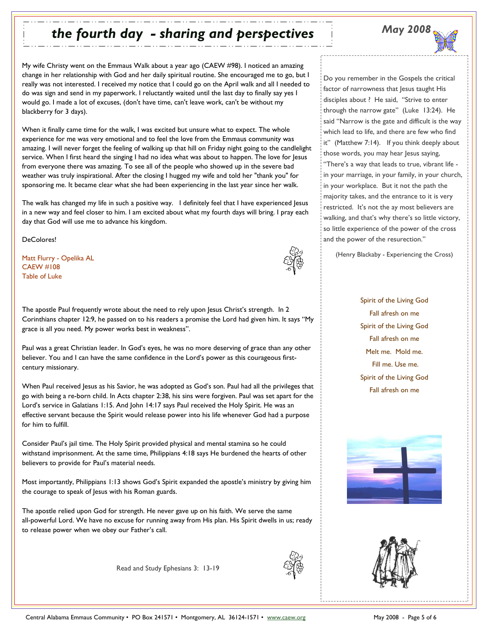## *May 2008 the fourth day - sharing and perspectives*

My wife Christy went on the Emmaus Walk about a year ago (CAEW #98). I noticed an amazing change in her relationship with God and her daily spiritual routine. She encouraged me to go, but I really was not interested. I received my notice that I could go on the April walk and all I needed to do was sign and send in my paperwork. I reluctantly waited until the last day to finally say yes I would go. I made a lot of excuses, (don't have time, can't leave work, can't be without my blackberry for 3 days).

When it finally came time for the walk, I was excited but unsure what to expect. The whole experience for me was very emotional and to feel the love from the Emmaus community was amazing. I will never forget the feeling of walking up that hill on Friday night going to the candlelight service. When I first heard the singing I had no idea what was about to happen. The love for Jesus from everyone there was amazing. To see all of the people who showed up in the severe bad weather was truly inspirational. After the closing I hugged my wife and told her "thank you" for sponsoring me. It became clear what she had been experiencing in the last year since her walk.

The walk has changed my life in such a positive way. I definitely feel that I have experienced Jesus in a new way and feel closer to him. I am excited about what my fourth days will bring. I pray each day that God will use me to advance his kingdom.

DeColores!

Matt Flurry - Opelika AL CAEW #108 Table of Luke

The apostle Paul frequently wrote about the need to rely upon lesus Christ's strength. In 2 Corinthians chapter 12:9, he passed on to his readers a promise the Lord had given him. It says "My grace is all you need. My power works best in weakness".

Paul was a great Christian leader. In God's eyes, he was no more deserving of grace than any other believer. You and I can have the same confidence in the Lord's power as this courageous firstcentury missionary.

When Paul received Jesus as his Savior, he was adopted as God's son. Paul had all the privileges that go with being a re-born child. In Acts chapter 2:38, his sins were forgiven. Paul was set apart for the Lord's service in Galatians 1:15. And John 14:17 says Paul received the Holy Spirit. He was an effective servant because the Spirit would release power into his life whenever God had a purpose for him to fulfill.

Consider Paul's jail time. The Holy Spirit provided physical and mental stamina so he could withstand imprisonment. At the same time, Philippians 4:18 says He burdened the hearts of other believers to provide for Paul's material needs.

Most importantly, Philippians 1:13 shows God's Spirit expanded the apostle's ministry by giving him the courage to speak of Jesus with his Roman guards.

The apostle relied upon God for strength. He never gave up on his faith. We serve the same all-powerful Lord. We have no excuse for running away from His plan. His Spirit dwells in us; ready to release power when we obey our Father's call.

Read and Study Ephesians 3: 13-19



Do you remember in the Gospels the critical factor of narrowness that Jesus taught His disciples about ? He said, "Strive to enter through the narrow gate" (Luke 13:24). He said "Narrow is the gate and difficult is the way which lead to life, and there are few who find it" (Matthew 7:14). If you think deeply about those words, you may hear Jesus saying, "There's a way that leads to true, vibrant life in your marriage, in your family, in your church, in your workplace. But it not the path the majority takes, and the entrance to it is very restricted. It's not the ay most believers are walking, and that's why there's so little victory, so little experience of the power of the cross and the power of the resurection."

(Henry Blackaby - Experiencing the Cross)

Spirit of the Living God Fall afresh on me Spirit of the Living God Fall afresh on me Melt me. Mold me. Fill me. Use me. Spirit of the Living God Fall afresh on me